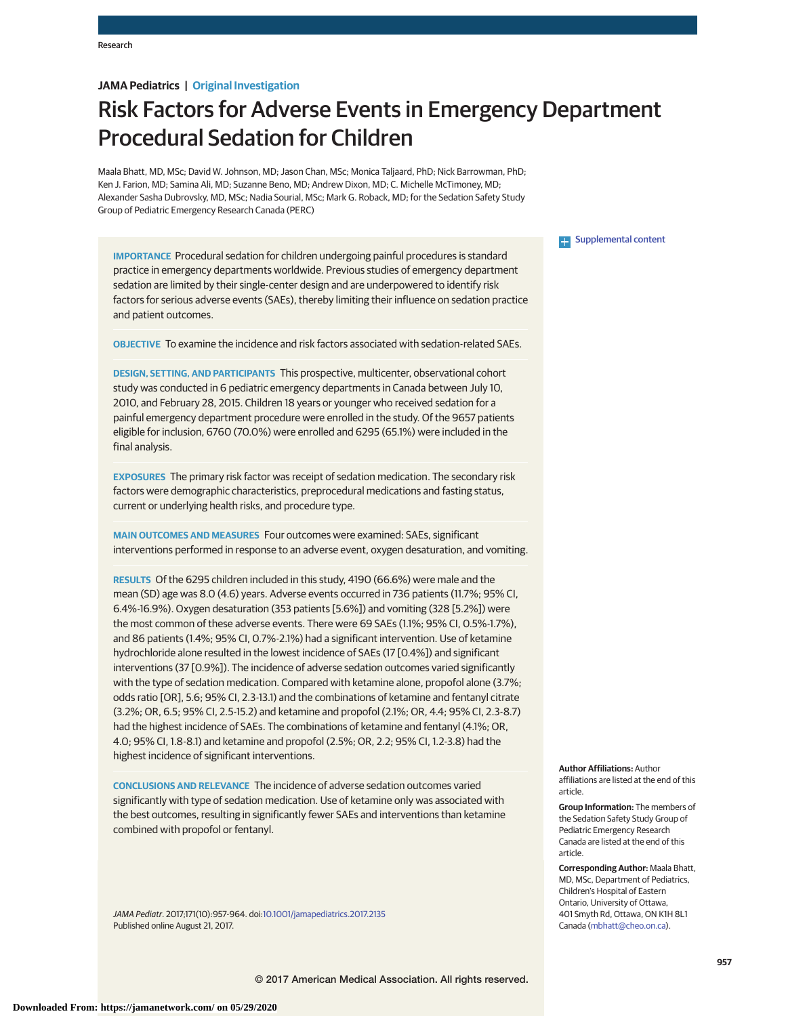# **JAMA Pediatrics | Original Investigation**

# Risk Factors for Adverse Events in Emergency Department Procedural Sedation for Children

Maala Bhatt, MD, MSc; David W. Johnson, MD; Jason Chan, MSc; Monica Taljaard, PhD; Nick Barrowman, PhD; Ken J. Farion, MD; Samina Ali, MD; Suzanne Beno, MD; Andrew Dixon, MD; C. Michelle McTimoney, MD; Alexander Sasha Dubrovsky, MD, MSc; Nadia Sourial, MSc; Mark G. Roback, MD; for the Sedation Safety Study Group of Pediatric Emergency Research Canada (PERC)

**IMPORTANCE** Procedural sedation for children undergoing painful procedures is standard practice in emergency departments worldwide. Previous studies of emergency department sedation are limited by their single-center design and are underpowered to identify risk factors for serious adverse events (SAEs), thereby limiting their influence on sedation practice and patient outcomes.

**OBJECTIVE** To examine the incidence and risk factors associated with sedation-related SAEs.

**DESIGN, SETTING, AND PARTICIPANTS** This prospective, multicenter, observational cohort study was conducted in 6 pediatric emergency departments in Canada between July 10, 2010, and February 28, 2015. Children 18 years or younger who received sedation for a painful emergency department procedure were enrolled in the study. Of the 9657 patients eligible for inclusion, 6760 (70.0%) were enrolled and 6295 (65.1%) were included in the final analysis.

**EXPOSURES** The primary risk factor was receipt of sedation medication. The secondary risk factors were demographic characteristics, preprocedural medications and fasting status, current or underlying health risks, and procedure type.

**MAIN OUTCOMES AND MEASURES** Four outcomes were examined: SAEs, significant interventions performed in response to an adverse event, oxygen desaturation, and vomiting.

**RESULTS** Of the 6295 children included in this study, 4190 (66.6%) were male and the mean (SD) age was 8.0 (4.6) years. Adverse events occurred in 736 patients (11.7%; 95% CI, 6.4%-16.9%). Oxygen desaturation (353 patients [5.6%]) and vomiting (328 [5.2%]) were the most common of these adverse events. There were 69 SAEs (1.1%; 95% CI, 0.5%-1.7%), and 86 patients (1.4%; 95% CI, 0.7%-2.1%) had a significant intervention. Use of ketamine hydrochloride alone resulted in the lowest incidence of SAEs (17 [0.4%]) and significant interventions (37 [0.9%]). The incidence of adverse sedation outcomes varied significantly with the type of sedation medication. Compared with ketamine alone, propofol alone (3.7%; odds ratio [OR], 5.6; 95% CI, 2.3-13.1) and the combinations of ketamine and fentanyl citrate (3.2%; OR, 6.5; 95% CI, 2.5-15.2) and ketamine and propofol (2.1%; OR, 4.4; 95% CI, 2.3-8.7) had the highest incidence of SAEs. The combinations of ketamine and fentanyl (4.1%; OR, 4.0; 95% CI, 1.8-8.1) and ketamine and propofol (2.5%; OR, 2.2; 95% CI, 1.2-3.8) had the highest incidence of significant interventions.

**CONCLUSIONS AND RELEVANCE** The incidence of adverse sedation outcomes varied significantly with type of sedation medication. Use of ketamine only was associated with the best outcomes, resulting in significantly fewer SAEs and interventions than ketamine combined with propofol or fentanyl.

JAMA Pediatr. 2017;171(10):957-964. doi[:10.1001/jamapediatrics.2017.2135](http://jama.jamanetwork.com/article.aspx?doi=10.1001/jamapediatrics.2017.2135&utm_campaign=articlePDF%26utm_medium=articlePDFlink%26utm_source=articlePDF%26utm_content=jamapediatrics.2017.2135) Published online August 21, 2017.

**[Supplemental content](http://jama.jamanetwork.com/article.aspx?doi=10.1001/jamapediatrics.2017.2135&utm_campaign=articlePDF%26utm_medium=articlePDFlink%26utm_source=articlePDF%26utm_content=jamapediatrics.2017.2135)** 

**Author Affiliations:** Author affiliations are listed at the end of this article.

**Group Information:** The members of the Sedation Safety Study Group of Pediatric Emergency Research Canada are listed at the end of this article.

**Corresponding Author:** Maala Bhatt, MD, MSc, Department of Pediatrics, Children's Hospital of Eastern Ontario, University of Ottawa, 401 Smyth Rd, Ottawa, ON K1H 8L1 Canada [\(mbhatt@cheo.on.ca\)](mailto:mbhatt@cheo.on.ca).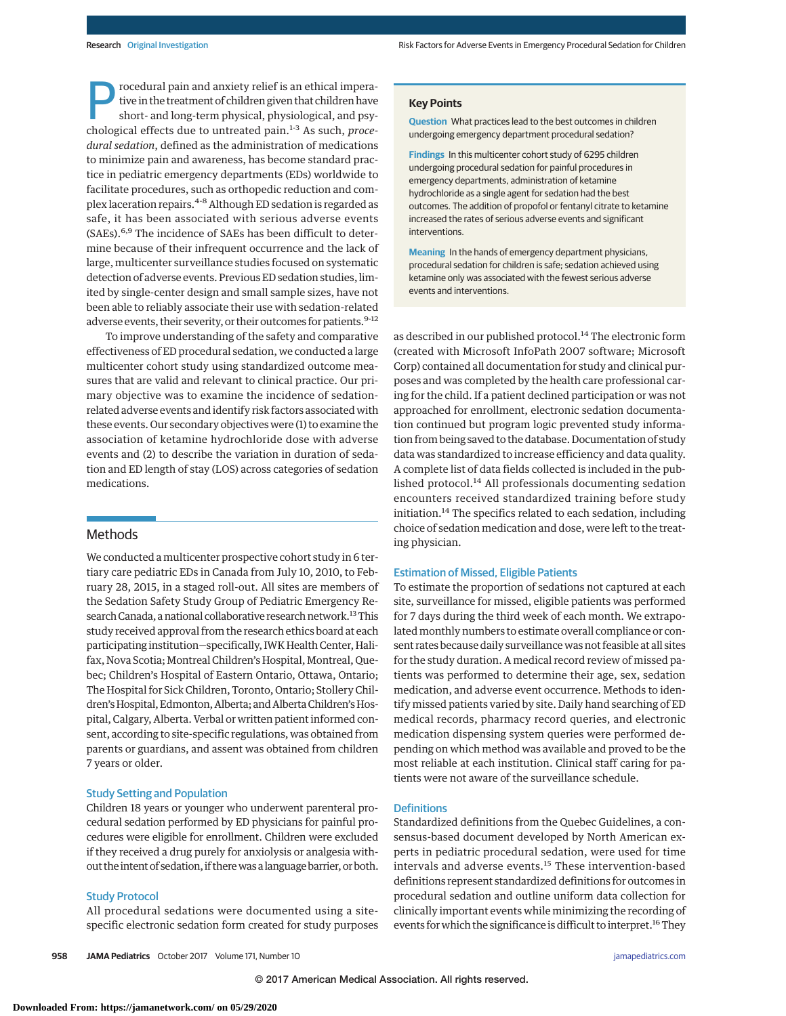**Procedural pain and anxiety relief is an ethical imperative in the treatment of children given that children have short- and long-term physical, physiological, and psy-<br>chological offects due to untroated pain <sup>1-3</sup> As su** tive in the treatment of children given that children have chological effects due to untreated pain.1-3 As such, *procedural sedation*, defined as the administration of medications to minimize pain and awareness, has become standard practice in pediatric emergency departments (EDs) worldwide to facilitate procedures, such as orthopedic reduction and complex laceration repairs.4-8 Although ED sedation is regarded as safe, it has been associated with serious adverse events (SAEs).6,9 The incidence of SAEs has been difficult to determine because of their infrequent occurrence and the lack of large, multicenter surveillance studies focused on systematic detection of adverse events. Previous ED sedation studies, limited by single-center design and small sample sizes, have not been able to reliably associate their use with sedation-related adverse events, their severity, or their outcomes for patients. <sup>9-12</sup>

To improve understanding of the safety and comparative effectiveness of ED procedural sedation, we conducted a large multicenter cohort study using standardized outcome measures that are valid and relevant to clinical practice. Our primary objective was to examine the incidence of sedationrelated adverse events and identify risk factors associated with these events. Our secondary objectives were (1) to examine the association of ketamine hydrochloride dose with adverse events and (2) to describe the variation in duration of sedation and ED length of stay (LOS) across categories of sedation medications.

## **Methods**

We conducted a multicenter prospective cohort study in 6 tertiary care pediatric EDs in Canada from July 10, 2010, to February 28, 2015, in a staged roll-out. All sites are members of the Sedation Safety Study Group of Pediatric Emergency Research Canada, a national collaborative research network.<sup>13</sup> This study received approval from the research ethics board at each participating institution—specifically, IWK Health Center, Halifax, Nova Scotia; Montreal Children's Hospital, Montreal, Quebec; Children's Hospital of Eastern Ontario, Ottawa, Ontario; The Hospital for Sick Children, Toronto, Ontario; Stollery Children's Hospital, Edmonton, Alberta; and Alberta Children's Hospital, Calgary, Alberta. Verbal or written patient informed consent, according to site-specific regulations, was obtained from parents or guardians, and assent was obtained from children 7 years or older.

## Study Setting and Population

Children 18 years or younger who underwent parenteral procedural sedation performed by ED physicians for painful procedures were eligible for enrollment. Children were excluded if they received a drug purely for anxiolysis or analgesia without the intent of sedation, if therewas a language barrier, or both.

## Study Protocol

All procedural sedations were documented using a sitespecific electronic sedation form created for study purposes **Key Points**

**Question** What practices lead to the best outcomes in children undergoing emergency department procedural sedation?

**Findings** In this multicenter cohort study of 6295 children undergoing procedural sedation for painful procedures in emergency departments, administration of ketamine hydrochloride as a single agent for sedation had the best outcomes. The addition of propofol or fentanyl citrate to ketamine increased the rates of serious adverse events and significant interventions.

**Meaning** In the hands of emergency department physicians, procedural sedation for children is safe; sedation achieved using ketamine only was associated with the fewest serious adverse events and interventions.

as described in our published protocol.<sup>14</sup> The electronic form (created with Microsoft InfoPath 2007 software; Microsoft Corp) contained all documentation for study and clinical purposes and was completed by the health care professional caring for the child. If a patient declined participation or was not approached for enrollment, electronic sedation documentation continued but program logic prevented study information from being saved to the database. Documentation of study data was standardized to increase efficiency and data quality. A complete list of data fields collected is included in the published protocol.<sup>14</sup> All professionals documenting sedation encounters received standardized training before study initiation.<sup>14</sup> The specifics related to each sedation, including choice of sedation medication and dose, were left to the treating physician.

## Estimation of Missed, Eligible Patients

To estimate the proportion of sedations not captured at each site, surveillance for missed, eligible patients was performed for 7 days during the third week of each month. We extrapolated monthly numbers to estimate overall compliance or consent rates because daily surveillance was not feasible at all sites for the study duration. A medical record review of missed patients was performed to determine their age, sex, sedation medication, and adverse event occurrence. Methods to identify missed patients varied by site. Daily hand searching of ED medical records, pharmacy record queries, and electronic medication dispensing system queries were performed depending on which method was available and proved to be the most reliable at each institution. Clinical staff caring for patients were not aware of the surveillance schedule.

## **Definitions**

Standardized definitions from the Quebec Guidelines, a consensus-based document developed by North American experts in pediatric procedural sedation, were used for time intervals and adverse events.  $^{\rm 15}$  These intervention-based definitions represent standardized definitions for outcomes in procedural sedation and outline uniform data collection for clinically important events while minimizing the recording of events for which the significance is difficult to interpret.<sup>16</sup> They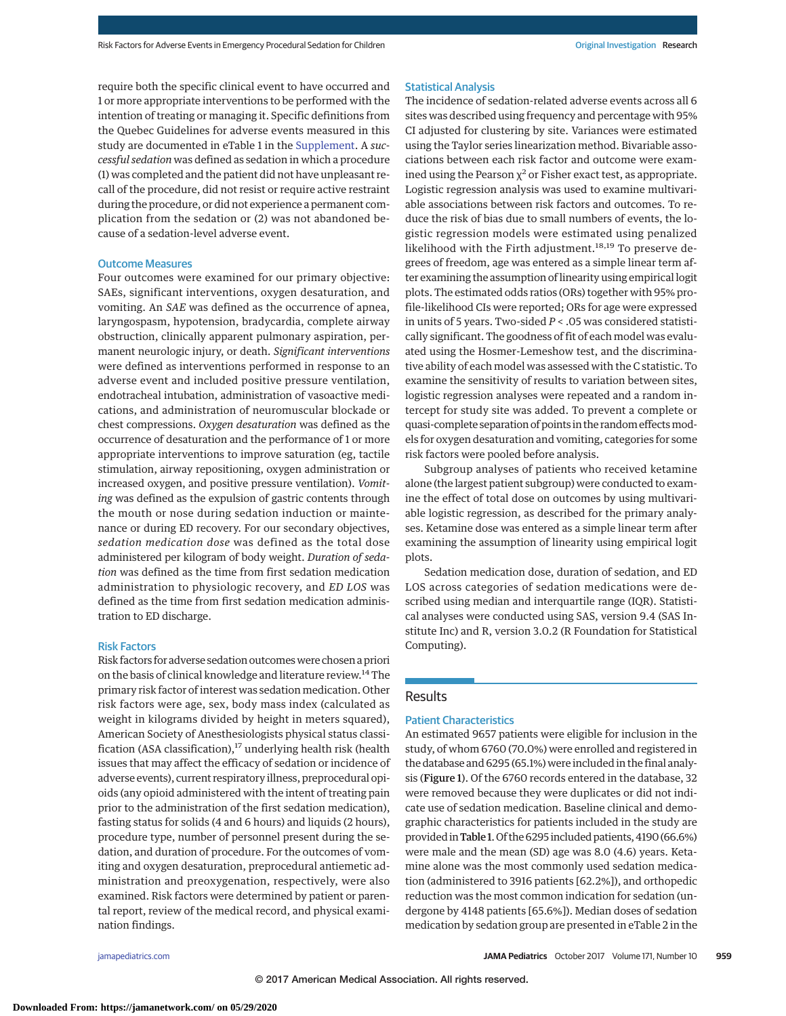require both the specific clinical event to have occurred and 1 or more appropriate interventions to be performed with the intention of treating or managing it. Specific definitions from the Quebec Guidelines for adverse events measured in this study are documented in eTable 1 in the [Supplement.](http://jama.jamanetwork.com/article.aspx?doi=10.1001/jamapediatrics.2017.2135&utm_campaign=articlePDF%26utm_medium=articlePDFlink%26utm_source=articlePDF%26utm_content=jamapediatrics.2017.2135) A *successful sedation* was defined as sedation in which a procedure (1) was completed and the patient did not have unpleasant recall of the procedure, did not resist or require active restraint during the procedure, or did not experience a permanent complication from the sedation or (2) was not abandoned because of a sedation-level adverse event.

#### Outcome Measures

Four outcomes were examined for our primary objective: SAEs, significant interventions, oxygen desaturation, and vomiting. An *SAE* was defined as the occurrence of apnea, laryngospasm, hypotension, bradycardia, complete airway obstruction, clinically apparent pulmonary aspiration, permanent neurologic injury, or death. *Significant interventions* were defined as interventions performed in response to an adverse event and included positive pressure ventilation, endotracheal intubation, administration of vasoactive medications, and administration of neuromuscular blockade or chest compressions. *Oxygen desaturation* was defined as the occurrence of desaturation and the performance of 1 or more appropriate interventions to improve saturation (eg, tactile stimulation, airway repositioning, oxygen administration or increased oxygen, and positive pressure ventilation). *Vomiting* was defined as the expulsion of gastric contents through the mouth or nose during sedation induction or maintenance or during ED recovery. For our secondary objectives, *sedation medication dose* was defined as the total dose administered per kilogram of body weight. *Duration of sedation* was defined as the time from first sedation medication administration to physiologic recovery, and *ED LOS* was defined as the time from first sedation medication administration to ED discharge.

#### Risk Factors

Risk factors for adverse sedation outcomes were chosen a priori on the basis of clinical knowledge and literature review.<sup>14</sup> The primary risk factor of interest was sedation medication. Other risk factors were age, sex, body mass index (calculated as weight in kilograms divided by height in meters squared), American Society of Anesthesiologists physical status classification (ASA classification), $17$  underlying health risk (health issues that may affect the efficacy of sedation or incidence of adverse events), current respiratory illness, preprocedural opioids (any opioid administered with the intent of treating pain prior to the administration of the first sedation medication), fasting status for solids (4 and 6 hours) and liquids (2 hours), procedure type, number of personnel present during the sedation, and duration of procedure. For the outcomes of vomiting and oxygen desaturation, preprocedural antiemetic administration and preoxygenation, respectively, were also examined. Risk factors were determined by patient or parental report, review of the medical record, and physical examination findings.

#### Statistical Analysis

The incidence of sedation-related adverse events across all 6 sites was described using frequency and percentage with 95% CI adjusted for clustering by site. Variances were estimated using the Taylor series linearization method. Bivariable associations between each risk factor and outcome were examined using the Pearson  $\chi^2$  or Fisher exact test, as appropriate. Logistic regression analysis was used to examine multivariable associations between risk factors and outcomes. To reduce the risk of bias due to small numbers of events, the logistic regression models were estimated using penalized likelihood with the Firth adjustment.<sup>18,19</sup> To preserve degrees of freedom, age was entered as a simple linear term after examining the assumption of linearity using empirical logit plots. The estimated odds ratios (ORs) together with 95% profile-likelihood CIs were reported; ORs for age were expressed in units of 5 years. Two-sided *P* < .05 was considered statistically significant. The goodness of fit of each model was evaluated using the Hosmer-Lemeshow test, and the discriminative ability of each model was assessed with the C statistic. To examine the sensitivity of results to variation between sites, logistic regression analyses were repeated and a random intercept for study site was added. To prevent a complete or quasi-complete separation of points in the random effects models for oxygen desaturation and vomiting, categories for some risk factors were pooled before analysis.

Subgroup analyses of patients who received ketamine alone (the largest patient subgroup) were conducted to examine the effect of total dose on outcomes by using multivariable logistic regression, as described for the primary analyses. Ketamine dose was entered as a simple linear term after examining the assumption of linearity using empirical logit plots.

Sedation medication dose, duration of sedation, and ED LOS across categories of sedation medications were described using median and interquartile range (IQR). Statistical analyses were conducted using SAS, version 9.4 (SAS Institute Inc) and R, version 3.0.2 (R Foundation for Statistical Computing).

## **Results**

#### Patient Characteristics

An estimated 9657 patients were eligible for inclusion in the study, of whom 6760 (70.0%) were enrolled and registered in the database and 6295 (65.1%) were included in the final analysis (Figure 1). Of the 6760 records entered in the database, 32 were removed because they were duplicates or did not indicate use of sedation medication. Baseline clinical and demographic characteristics for patients included in the study are provided inTable 1. Of the 6295 included patients, 4190 (66.6%) were male and the mean (SD) age was 8.0 (4.6) years. Ketamine alone was the most commonly used sedation medication (administered to 3916 patients [62.2%]), and orthopedic reduction was the most common indication for sedation (undergone by 4148 patients [65.6%]). Median doses of sedation medication by sedation group are presented in eTable 2 in the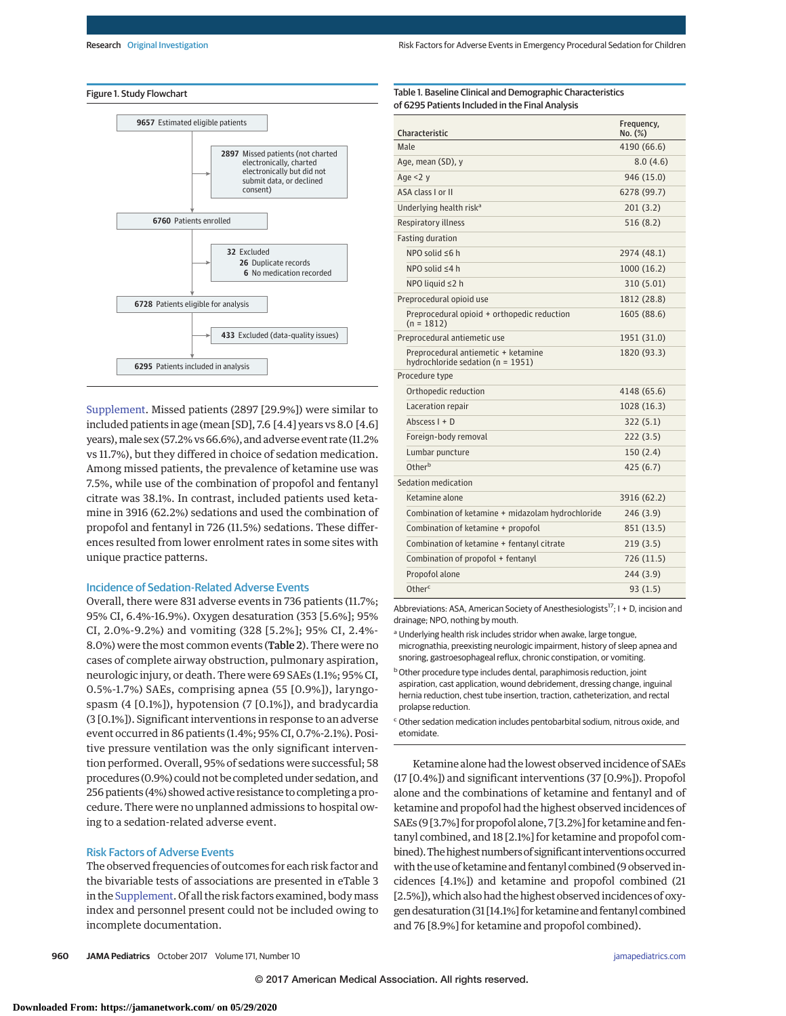

[Supplement.](http://jama.jamanetwork.com/article.aspx?doi=10.1001/jamapediatrics.2017.2135&utm_campaign=articlePDF%26utm_medium=articlePDFlink%26utm_source=articlePDF%26utm_content=jamapediatrics.2017.2135) Missed patients (2897 [29.9%]) were similar to included patients in age (mean [SD], 7.6 [4.4] years vs 8.0 [4.6] years),male sex (57.2% vs 66.6%), and adverse event rate (11.2% vs 11.7%), but they differed in choice of sedation medication. Among missed patients, the prevalence of ketamine use was 7.5%, while use of the combination of propofol and fentanyl citrate was 38.1%. In contrast, included patients used ketamine in 3916 (62.2%) sedations and used the combination of propofol and fentanyl in 726 (11.5%) sedations. These differences resulted from lower enrolment rates in some sites with unique practice patterns.

## Incidence of Sedation-Related Adverse Events

Overall, there were 831 adverse events in 736 patients (11.7%; 95% CI, 6.4%-16.9%). Oxygen desaturation (353 [5.6%]; 95% CI, 2.0%-9.2%) and vomiting (328 [5.2%]; 95% CI, 2.4%- 8.0%) were the most common events (Table 2). There were no cases of complete airway obstruction, pulmonary aspiration, neurologic injury, or death. There were 69 SAEs (1.1%; 95% CI, 0.5%-1.7%) SAEs, comprising apnea (55 [0.9%]), laryngospasm (4 [0.1%]), hypotension (7 [0.1%]), and bradycardia (3 [0.1%]). Significant interventions in response to an adverse event occurred in 86 patients (1.4%; 95% CI, 0.7%-2.1%). Positive pressure ventilation was the only significant intervention performed. Overall, 95% of sedations were successful; 58 procedures (0.9%) could not be completed under sedation, and 256 patients (4%) showed active resistance to completing a procedure. There were no unplanned admissions to hospital owing to a sedation-related adverse event.

## Risk Factors of Adverse Events

The observed frequencies of outcomes for each risk factor and the bivariable tests of associations are presented in eTable 3 in the [Supplement.](http://jama.jamanetwork.com/article.aspx?doi=10.1001/jamapediatrics.2017.2135&utm_campaign=articlePDF%26utm_medium=articlePDFlink%26utm_source=articlePDF%26utm_content=jamapediatrics.2017.2135) Of all the risk factors examined, body mass index and personnel present could not be included owing to incomplete documentation.

## Table 1. Baseline Clinical and Demographic Characteristics of 6295 Patients Included in the Final Analysis

| Characteristic                                                               | Frequency,<br>No. (%) |
|------------------------------------------------------------------------------|-----------------------|
| Male                                                                         | 4190 (66.6)           |
| Age, mean (SD), y                                                            | 8.0(4.6)              |
| Age $<$ 2 y                                                                  | 946 (15.0)            |
| ASA class I or II                                                            | 6278 (99.7)           |
| Underlying health risk <sup>a</sup>                                          | 201(3.2)              |
| Respiratory illness                                                          | 516(8.2)              |
| <b>Fasting duration</b>                                                      |                       |
| NPO solid $\leq 6$ h                                                         | 2974 (48.1)           |
| NPO solid ≤4 h                                                               | 1000(16.2)            |
| NPO liquid ≤2 h                                                              | 310 (5.01)            |
| Preprocedural opioid use                                                     | 1812 (28.8)           |
| Preprocedural opioid + orthopedic reduction<br>$(n = 1812)$                  | 1605 (88.6)           |
| Preprocedural antiemetic use                                                 | 1951 (31.0)           |
| Preprocedural antiemetic + ketamine<br>hydrochloride sedation ( $n = 1951$ ) | 1820 (93.3)           |
| Procedure type                                                               |                       |
| Orthopedic reduction                                                         | 4148 (65.6)           |
| Laceration repair                                                            | 1028 (16.3)           |
| Abscess $I + D$                                                              | 322(5.1)              |
| Foreign-body removal                                                         | 222(3.5)              |
| Lumbar puncture                                                              | 150(2.4)              |
| Otherb                                                                       | 425(6.7)              |
| Sedation medication                                                          |                       |
| Ketamine alone                                                               | 3916 (62.2)           |
| Combination of ketamine + midazolam hydrochloride                            | 246 (3.9)             |
| Combination of ketamine + propofol                                           | 851 (13.5)            |
| Combination of ketamine + fentanyl citrate                                   | 219(3.5)              |
| Combination of propofol + fentanyl                                           | 726 (11.5)            |
| Propofol alone                                                               | 244(3.9)              |
| Other <sup>c</sup>                                                           | 93(1.5)               |

Abbreviations: ASA, American Society of Anesthesiologists<sup>17</sup>; I + D, incision and drainage; NPO, nothing by mouth.

<sup>a</sup> Underlying health risk includes stridor when awake, large tongue, micrognathia, preexisting neurologic impairment, history of sleep apnea and snoring, gastroesophageal reflux, chronic constipation, or vomiting.

b Other procedure type includes dental, paraphimosis reduction, joint aspiration, cast application, wound debridement, dressing change, inguinal hernia reduction, chest tube insertion, traction, catheterization, and rectal prolapse reduction.

<sup>c</sup> Other sedation medication includes pentobarbital sodium, nitrous oxide, and etomidate.

Ketamine alone had the lowest observed incidence of SAEs (17 [0.4%]) and significant interventions (37 [0.9%]). Propofol alone and the combinations of ketamine and fentanyl and of ketamine and propofol had the highest observed incidences of SAEs (9 [3.7%] for propofol alone, 7 [3.2%] for ketamine and fentanyl combined, and 18 [2.1%] for ketamine and propofol combined). The highest numbers of significant interventions occurred with the use of ketamine and fentanyl combined (9 observed incidences [4.1%]) and ketamine and propofol combined (21 [2.5%]), which also had the highest observed incidences of oxygendesaturation (31 [14.1%] for ketamine and fentanylcombined and 76 [8.9%] for ketamine and propofol combined).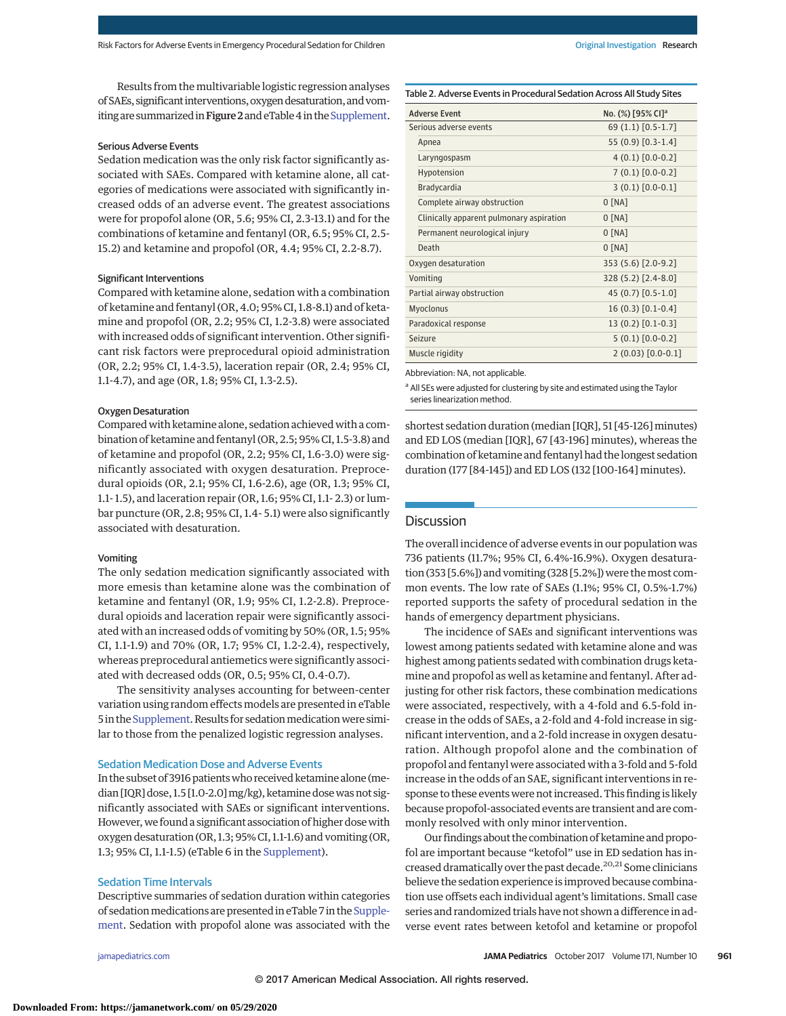Results from the multivariable logistic regression analyses ofSAEs,significant interventions,oxygendesaturation, andvom-iting are summarized in Figure 2 and eTable 4 in the [Supplement.](http://jama.jamanetwork.com/article.aspx?doi=10.1001/jamapediatrics.2017.2135&utm_campaign=articlePDF%26utm_medium=articlePDFlink%26utm_source=articlePDF%26utm_content=jamapediatrics.2017.2135)

## Serious Adverse Events

Sedation medication was the only risk factor significantly associated with SAEs. Compared with ketamine alone, all categories of medications were associated with significantly increased odds of an adverse event. The greatest associations were for propofol alone (OR, 5.6; 95% CI, 2.3-13.1) and for the combinations of ketamine and fentanyl (OR, 6.5; 95% CI, 2.5- 15.2) and ketamine and propofol (OR, 4.4; 95% CI, 2.2-8.7).

#### Significant Interventions

Compared with ketamine alone, sedation with a combination of ketamine and fentanyl (OR, 4.0; 95% CI, 1.8-8.1) and of ketamine and propofol (OR, 2.2; 95% CI, 1.2-3.8) were associated with increased odds of significant intervention. Other significant risk factors were preprocedural opioid administration (OR, 2.2; 95% CI, 1.4-3.5), laceration repair (OR, 2.4; 95% CI, 1.1-4.7), and age (OR, 1.8; 95% CI, 1.3-2.5).

#### Oxygen Desaturation

Compared with ketamine alone, sedation achieved with a combination of ketamine and fentanyl (OR, 2.5; 95% CI, 1.5-3.8) and of ketamine and propofol (OR, 2.2; 95% CI, 1.6-3.0) were significantly associated with oxygen desaturation. Preprocedural opioids (OR, 2.1; 95% CI, 1.6-2.6), age (OR, 1.3; 95% CI, 1.1- 1.5), and laceration repair (OR, 1.6; 95% CI, 1.1- 2.3) or lumbar puncture (OR, 2.8; 95% CI, 1.4- 5.1) were also significantly associated with desaturation.

#### Vomiting

The only sedation medication significantly associated with more emesis than ketamine alone was the combination of ketamine and fentanyl (OR, 1.9; 95% CI, 1.2-2.8). Preprocedural opioids and laceration repair were significantly associated with an increased odds of vomiting by 50% (OR, 1.5; 95% CI, 1.1-1.9) and 70% (OR, 1.7; 95% CI, 1.2-2.4), respectively, whereas preprocedural antiemetics were significantly associated with decreased odds (OR, 0.5; 95% CI, 0.4-0.7).

The sensitivity analyses accounting for between-center variation using random effects models are presented in eTable 5 in the Supplement. Results for sedation medication were similar to those from the penalized logistic regression analyses.

#### Sedation Medication Dose and Adverse Events

In the subset of 3916 patientswho received ketamine alone (median [IQR] dose, 1.5 [1.0-2.0] mg/kg), ketamine dose was not significantly associated with SAEs or significant interventions. However, we found a significant association of higher dose with oxygen desaturation (OR, 1.3; 95% CI, 1.1-1.6) and vomiting (OR, 1.3; 95% CI, 1.1-1.5) (eTable 6 in the [Supplement\)](http://jama.jamanetwork.com/article.aspx?doi=10.1001/jamapediatrics.2017.2135&utm_campaign=articlePDF%26utm_medium=articlePDFlink%26utm_source=articlePDF%26utm_content=jamapediatrics.2017.2135).

## Sedation Time Intervals

Descriptive summaries of sedation duration within categories of sedation medications are presented in eTable 7 in the [Supple](http://jama.jamanetwork.com/article.aspx?doi=10.1001/jamapediatrics.2017.2135&utm_campaign=articlePDF%26utm_medium=articlePDFlink%26utm_source=articlePDF%26utm_content=jamapediatrics.2017.2135)[ment.](http://jama.jamanetwork.com/article.aspx?doi=10.1001/jamapediatrics.2017.2135&utm_campaign=articlePDF%26utm_medium=articlePDFlink%26utm_source=articlePDF%26utm_content=jamapediatrics.2017.2135) Sedation with propofol alone was associated with the

| Table 2. Adverse Events in Procedural Sedation Across All Study Sites |
|-----------------------------------------------------------------------|
|-----------------------------------------------------------------------|

| Adverse Event                            | No. (%) [95% CI] <sup>a</sup> |
|------------------------------------------|-------------------------------|
| Serious adverse events                   | 69 (1.1) [0.5-1.7]            |
| Apnea                                    | 55 (0.9) [0.3-1.4]            |
| Laryngospasm                             | $4(0.1)$ $[0.0-0.2]$          |
| Hypotension                              | $7(0.1)$ $[0.0-0.2]$          |
| Bradycardia                              | $3(0.1)$ $[0.0-0.1]$          |
| Complete airway obstruction              | 0 [NA]                        |
| Clinically apparent pulmonary aspiration | 0 [NA]                        |
| Permanent neurological injury            | $0$ [NA]                      |
| Death                                    | $0$ [NA]                      |
| Oxygen desaturation                      | 353 (5.6) [2.0-9.2]           |
| Vomiting                                 | 328 (5.2) [2.4-8.0]           |
| Partial airway obstruction               | 45 (0.7) [0.5-1.0]            |
| Myoclonus                                | $16(0.3)$ [0.1-0.4]           |
| Paradoxical response                     | $13(0.2)$ [0.1-0.3]           |
| Seizure                                  | $5(0.1)[0.0-0.2]$             |
| Muscle rigidity                          | $2(0.03)[0.0-0.1]$            |

Abbreviation: NA, not applicable.

<sup>a</sup> All SEs were adjusted for clustering by site and estimated using the Taylor series linearization method.

shortest sedation duration (median [IQR], 51 [45-126]minutes) and ED LOS (median [IQR], 67 [43-196] minutes), whereas the combination of ketamine and fentanyl had the longest sedation duration (177 [84-145]) and ED LOS (132 [100-164] minutes).

## **Discussion**

The overall incidence of adverse events in our population was 736 patients (11.7%; 95% CI, 6.4%-16.9%). Oxygen desaturation (353 [5.6%]) and vomiting (328 [5.2%]) were themost common events. The low rate of SAEs (1.1%; 95% CI, 0.5%-1.7%) reported supports the safety of procedural sedation in the hands of emergency department physicians.

The incidence of SAEs and significant interventions was lowest among patients sedated with ketamine alone and was highest among patients sedated with combination drugs ketamine and propofol as well as ketamine and fentanyl. After adjusting for other risk factors, these combination medications were associated, respectively, with a 4-fold and 6.5-fold increase in the odds of SAEs, a 2-fold and 4-fold increase in significant intervention, and a 2-fold increase in oxygen desaturation. Although propofol alone and the combination of propofol and fentanyl were associated with a 3-fold and 5-fold increase in the odds of an SAE, significant interventions in response to these events were not increased. This finding is likely because propofol-associated events are transient and are commonly resolved with only minor intervention.

Our findings about the combination of ketamine and propofol are important because "ketofol" use in ED sedation has increased dramatically over the past decade.<sup>20,21</sup> Some clinicians believe the sedation experience is improved because combination use offsets each individual agent's limitations. Small case series and randomized trials have not shown a difference in adverse event rates between ketofol and ketamine or propofol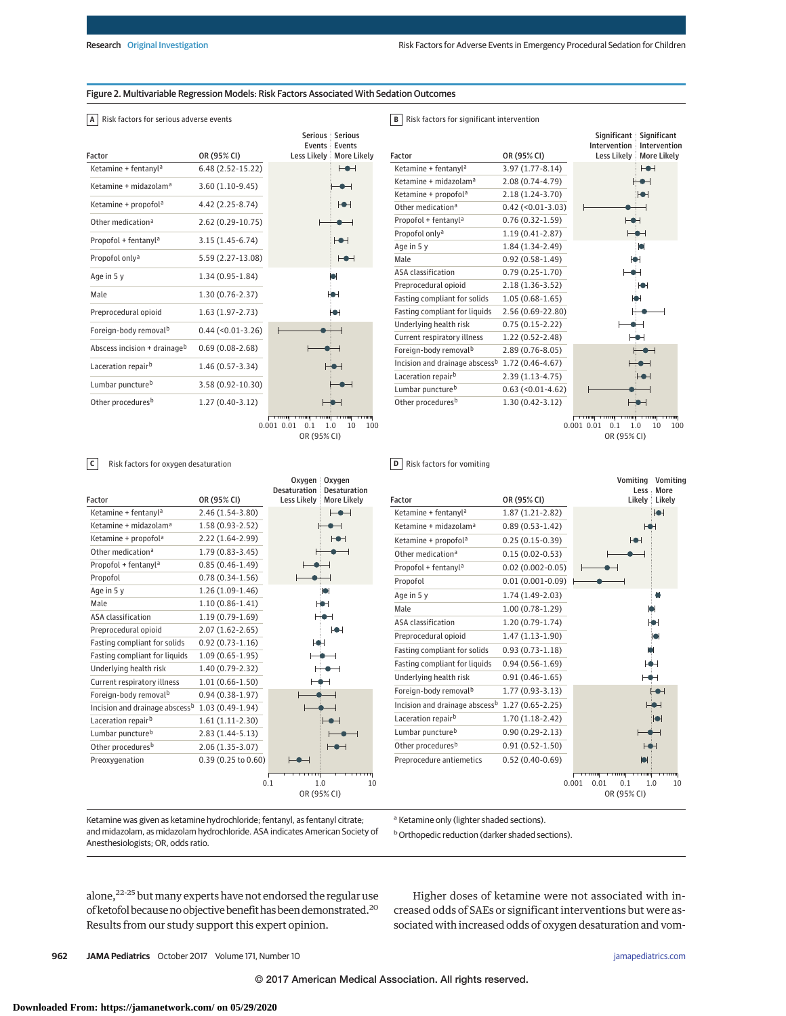**B** Risk factors for significant intervention

#### Figure 2. Multivariable Regression Models: Risk Factors Associated With Sedation Outcomes

**A** Risk factors for serious adverse events

| Factor                                   | OR (95% CI)             | Serious   Serious<br>Events                          | Events<br>Less Likely   More Likely |
|------------------------------------------|-------------------------|------------------------------------------------------|-------------------------------------|
| Ketamine + fentanyl <sup>a</sup>         | $6.48(2.52 - 15.22)$    |                                                      | $\overline{\phantom{a}}$            |
| Ketamine + midazolam <sup>a</sup>        | $3.60(1.10-9.45)$       |                                                      |                                     |
| Ketamine + propofol <sup>a</sup>         | 4.42 (2.25-8.74)        |                                                      | ⊢●⊣                                 |
| Other medication <sup>a</sup>            | 2.62 (0.29-10.75)       |                                                      |                                     |
| Propofol + fentanyl <sup>a</sup>         | $3.15(1.45-6.74)$       |                                                      | ⊢⊕⊣                                 |
| Propofol only <sup>a</sup>               | 5.59 (2.27-13.08)       |                                                      | ⊢●⊣                                 |
| Age in 5 y                               | $1.34(0.95-1.84)$       |                                                      |                                     |
| Male                                     | $1.30(0.76 - 2.37)$     |                                                      |                                     |
| Preprocedural opioid                     | $1.63(1.97-2.73)$       |                                                      | ю                                   |
| Foreign-body removal <sup>b</sup>        | $0.44$ (< $0.01-3.26$ ) |                                                      |                                     |
| Abscess incision + drainage <sup>b</sup> | $0.69(0.08-2.68)$       |                                                      |                                     |
| Laceration repairb                       | $1.46(0.57 - 3.34)$     |                                                      | ⊢⊕⊣                                 |
| Lumbar puncture <sup>b</sup>             | 3.58 (0.92-10.30)       |                                                      |                                     |
| Other procedures <sup>b</sup>            | $1.27(0.40-3.12)$       |                                                      |                                     |
|                                          |                         | गमण<br>गामाम<br>$0.001$ $0.01$<br>0.1<br>OR (95% CI) | TTTTTT<br>10<br>10<br>1.0           |

|                                            |                           | <b>Significant</b><br><b>Significant</b>                          |
|--------------------------------------------|---------------------------|-------------------------------------------------------------------|
| Factor                                     | OR (95% CI)               | Intervention<br>Intervention<br>Less Likely<br><b>More Likely</b> |
| Ketamine + fentanyl <sup>a</sup>           | $3.97(1.77-8.14)$         | $\vdash\bullet\vdash$                                             |
| Ketamine + midazolam <sup>a</sup>          | 2.08 (0.74-4.79)          | ⊢⊕⊣                                                               |
| Ketamine + propofol <sup>a</sup>           | 2.18 (1.24-3.70)          | le I                                                              |
| Other medication <sup>a</sup>              | $0.42$ (< $0.01 - 3.03$ ) |                                                                   |
|                                            |                           |                                                                   |
| Propofol + fentanyl <sup>a</sup>           | $0.76(0.32 - 1.59)$       |                                                                   |
| Propofol only <sup>a</sup>                 | 1.19 (0.41-2.87)          |                                                                   |
| Age in 5 y                                 | 1.84 (1.34-2.49)          | n                                                                 |
| Male                                       | $0.92(0.58 - 1.49)$       | Ю                                                                 |
| ASA classification                         | $0.79(0.25 - 1.70)$       |                                                                   |
| Preprocedural opioid                       | 2.18 (1.36-3.52)          | Ю                                                                 |
| Fasting compliant for solids               | $1.05(0.68-1.65)$         |                                                                   |
| Fasting compliant for liquids              | 2.56 (0.69-22.80)         |                                                                   |
| Underlying health risk                     | $0.75(0.15-2.22)$         |                                                                   |
| Current respiratory illness                | 1.22 (0.52-2.48)          |                                                                   |
| Foreign-body removal <sup>b</sup>          | 2.89 (0.76-8.05)          |                                                                   |
| Incision and drainage abscess <sup>b</sup> | 1.72 (0.46-4.67)          |                                                                   |
| Laceration repairb                         | $2.39(1.13-4.75)$         |                                                                   |
| Lumbar puncture <sup>b</sup>               | $0.63$ (< $0.01-4.62$ )   |                                                                   |
| Other procedures <sup>b</sup>              | 1.30 (0.42-3.12)          |                                                                   |
|                                            |                           | ттиш                                                              |
|                                            |                           | $0.001$ $0.01$<br>0.1<br>1.0<br>10<br>100                         |

OR (95% CI)

## **D** Risk factors for vomiting

100

| c l | Risk factors for oxygen desaturation |  |
|-----|--------------------------------------|--|
|-----|--------------------------------------|--|

|                                            |                     |                     | Oxygen Oxygen            |
|--------------------------------------------|---------------------|---------------------|--------------------------|
|                                            |                     | <b>Desaturation</b> | <b>Desaturation</b>      |
| Factor                                     | OR (95% CI)         | Less Likely         | <b>More Likely</b>       |
| Ketamine + fentanyl <sup>a</sup>           | 2.46 (1.54-3.80)    |                     | $\overline{\phantom{0}}$ |
| Ketamine + midazolam <sup>a</sup>          | 1.58 (0.93-2.52)    |                     |                          |
| Ketamine + propofol <sup>a</sup>           | 2.22 (1.64-2.99)    |                     | ⊢⊕⊣                      |
| Other medication <sup>a</sup>              | 1.79 (0.83-3.45)    |                     |                          |
| Propofol + fentanyl <sup>a</sup>           | $0.85(0.46 - 1.49)$ |                     |                          |
| Propofol                                   | $0.78(0.34-1.56)$   |                     |                          |
| Age in 5 y                                 | 1.26 (1.09-1.46)    |                     | $\bullet$                |
| Male                                       | $1.10(0.86 - 1.41)$ |                     | HO-I                     |
| <b>ASA classification</b>                  | 1.19 (0.79-1.69)    |                     |                          |
| Preprocedural opioid                       | $2.07(1.62 - 2.65)$ |                     | Ю                        |
| Fasting compliant for solids               | $0.92(0.73 - 1.16)$ | ĸН                  |                          |
| Fasting compliant for liquids              | $1.09(0.65 - 1.95)$ |                     |                          |
| Underlying health risk                     | 1.40 (0.79-2.32)    |                     |                          |
| Current respiratory illness                | $1.01(0.66 - 1.50)$ |                     |                          |
| Foreign-body removal <sup>b</sup>          | $0.94(0.38-1.97)$   |                     |                          |
| Incision and drainage abscess <sup>b</sup> | $1.03(0.49-1.94)$   |                     |                          |
| Laceration repair <sup>b</sup>             | $1.61(1.11-2.30)$   |                     |                          |
| Lumbar puncture <sup>b</sup>               | $2.83(1.44-5.13)$   |                     |                          |
| Other procedures <sup>b</sup>              | $2.06(1.35-3.07)$   |                     |                          |
| Preoxygenation                             | 0.39 (0.25 to 0.60) |                     |                          |
|                                            |                     |                     | गगग                      |
|                                            | 0.1                 |                     | 1.0<br>10                |
|                                            |                     | OR (95% CI)         |                          |

|                                            |                      | Vomiting<br>Vomiting                    |
|--------------------------------------------|----------------------|-----------------------------------------|
| Factor                                     | OR (95% CI)          | More<br>Less.<br>Likely Likely          |
| Ketamine + fentanyl <sup>a</sup>           | $1.87(1.21-2.82)$    | H                                       |
| Ketamine + midazolam <sup>a</sup>          | $0.89(0.53 - 1.42)$  |                                         |
| Ketamine + propofol <sup>a</sup>           | $0.25(0.15-0.39)$    |                                         |
| Other medication <sup>a</sup>              | $0.15(0.02 - 0.53)$  |                                         |
| Propofol + fentanyl <sup>a</sup>           | $0.02(0.002 - 0.05)$ |                                         |
| Propofol                                   | $0.01(0.001 - 0.09)$ |                                         |
| Age in 5 y                                 | 1.74 (1.49-2.03)     |                                         |
| Male                                       | 1.00 (0.78-1.29)     |                                         |
| ASA classification                         | $1.20(0.79-1.74)$    |                                         |
| Preprocedural opioid                       | $1.47(1.13-1.90)$    |                                         |
| Fasting compliant for solids               | $0.93(0.73 - 1.18)$  |                                         |
| Fasting compliant for liquids              | $0.94(0.56 - 1.69)$  |                                         |
| Underlying health risk                     | $0.91(0.46 - 1.65)$  |                                         |
| Foreign-body removal <sup>b</sup>          | $1.77(0.93-3.13)$    |                                         |
| Incision and drainage abscess <sup>b</sup> | $1.27(0.65 - 2.25)$  | ⊢⊕⊣                                     |
| Laceration repair <sup>b</sup>             | $1.70(1.18-2.42)$    | Ю                                       |
| Lumbar puncture <sup>b</sup>               | $0.90(0.29 - 2.13)$  |                                         |
| Other procedures <sup>b</sup>              | $0.91(0.52 - 1.50)$  |                                         |
| Preprocedure antiemetics                   | $0.52(0.40-0.69)$    |                                         |
|                                            |                      | गगगगा<br>0.001                          |
|                                            |                      | 0.01<br>0.1<br>1.0<br>10<br>OR (95% CI) |
|                                            |                      |                                         |

Ketamine was given as ketamine hydrochloride; fentanyl, as fentanyl citrate; and midazolam, as midazolam hydrochloride. ASA indicates American Society of Anesthesiologists; OR, odds ratio.

<sup>a</sup> Ketamine only (lighter shaded sections).

**b** Orthopedic reduction (darker shaded sections).

alone, $22-25$  but many experts have not endorsed the regular use of ketofol because no objective benefit has been demonstrated.<sup>20</sup> Results from our study support this expert opinion.

Higher doses of ketamine were not associated with increased odds of SAEs or significant interventions but were associated with increased odds of oxygen desaturation and vom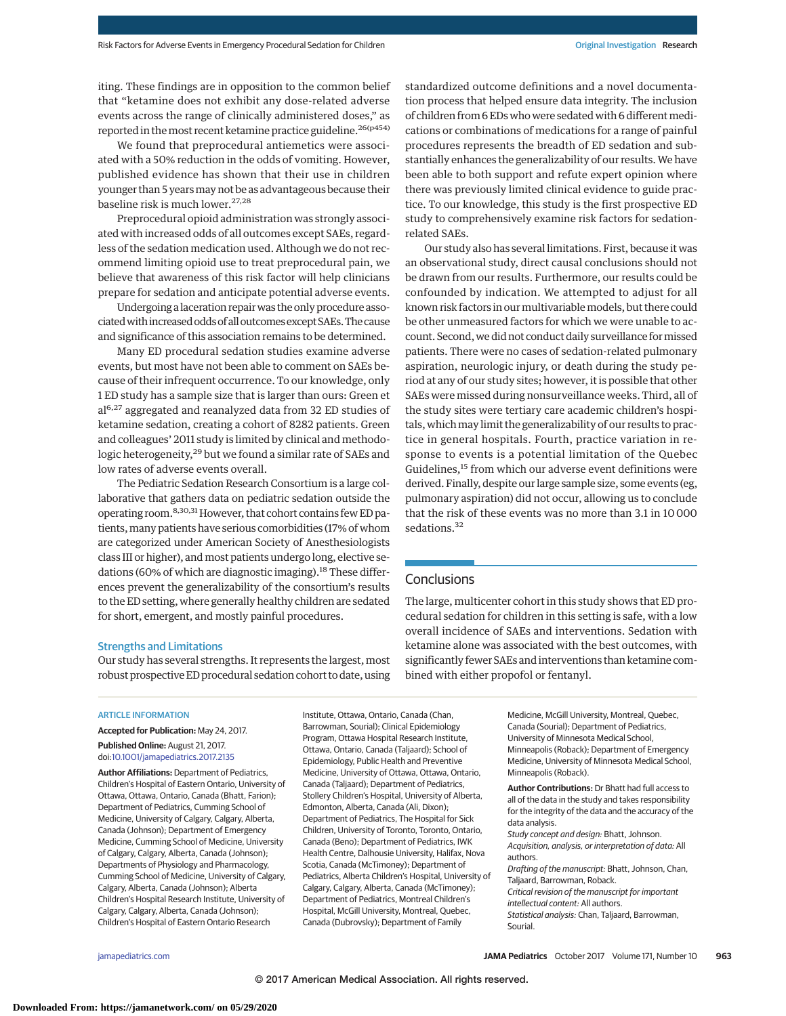iting. These findings are in opposition to the common belief that "ketamine does not exhibit any dose-related adverse events across the range of clinically administered doses," as reported in the most recent ketamine practice guideline.<sup>26(p454)</sup>

We found that preprocedural antiemetics were associated with a 50% reduction in the odds of vomiting. However, published evidence has shown that their use in children younger than 5 years may not be as advantageous because their baseline risk is much lower.27,28

Preprocedural opioid administration was strongly associated with increased odds of all outcomes except SAEs, regardless of the sedation medication used. Although we do not recommend limiting opioid use to treat preprocedural pain, we believe that awareness of this risk factor will help clinicians prepare for sedation and anticipate potential adverse events.

Undergoing a laceration repair was the only procedure associatedwith increasedoddsofalloutcomesexceptSAEs.Thecause and significance of this association remains to be determined.

Many ED procedural sedation studies examine adverse events, but most have not been able to comment on SAEs because of their infrequent occurrence. To our knowledge, only 1 ED study has a sample size that is larger than ours: Green et al<sup>6,27</sup> aggregated and reanalyzed data from 32 ED studies of ketamine sedation, creating a cohort of 8282 patients. Green and colleagues' 2011 study is limited by clinical and methodologic heterogeneity,<sup>29</sup> but we found a similar rate of SAEs and low rates of adverse events overall.

The Pediatric Sedation Research Consortium is a large collaborative that gathers data on pediatric sedation outside the operating room.<sup>8,30,31</sup> However, that cohort contains few ED patients,many patients have serious comorbidities (17% of whom are categorized under American Society of Anesthesiologists class III or higher), andmost patients undergo long, elective sedations (60% of which are diagnostic imaging).<sup>18</sup> These differences prevent the generalizability of the consortium's results to the ED setting, where generally healthy children are sedated for short, emergent, and mostly painful procedures.

standardized outcome definitions and a novel documentation process that helped ensure data integrity. The inclusion of children from 6 EDs who were sedated with 6 different medications or combinations of medications for a range of painful procedures represents the breadth of ED sedation and substantially enhances the generalizability of our results.We have been able to both support and refute expert opinion where there was previously limited clinical evidence to guide practice. To our knowledge, this study is the first prospective ED study to comprehensively examine risk factors for sedationrelated SAEs.

Our study also has several limitations. First, because it was an observational study, direct causal conclusions should not be drawn from our results. Furthermore, our results could be confounded by indication. We attempted to adjust for all known risk factors in ourmultivariablemodels, but there could be other unmeasured factors for which we were unable to account. Second,we did not conduct daily surveillance formissed patients. There were no cases of sedation-related pulmonary aspiration, neurologic injury, or death during the study period at any of our study sites; however, it is possible that other SAEs were missed during nonsurveillance weeks. Third, all of the study sites were tertiary care academic children's hospitals, which may limit the generalizability of our results to practice in general hospitals. Fourth, practice variation in response to events is a potential limitation of the Quebec Guidelines,<sup>15</sup> from which our adverse event definitions were derived. Finally, despite our large sample size, some events (eg, pulmonary aspiration) did not occur, allowing us to conclude that the risk of these events was no more than 3.1 in 10 000 sedations.<sup>32</sup>

# **Conclusions**

The large, multicenter cohort in this study shows that ED procedural sedation for children in this setting is safe, with a low overall incidence of SAEs and interventions. Sedation with ketamine alone was associated with the best outcomes, with significantly fewer SAEs and interventions than ketamine combined with either propofol or fentanyl.

## Strengths and Limitations

Our study has several strengths. It represents the largest, most robust prospective ED procedural sedation cohort to date, using

#### ARTICLE INFORMATION

**Accepted for Publication:** May 24, 2017.

**Published Online:** August 21, 2017. doi[:10.1001/jamapediatrics.2017.2135](http://jama.jamanetwork.com/article.aspx?doi=10.1001/jamapediatrics.2017.2135&utm_campaign=articlePDF%26utm_medium=articlePDFlink%26utm_source=articlePDF%26utm_content=jamapediatrics.2017.2135)

**Author Affiliations:** Department of Pediatrics, Children's Hospital of Eastern Ontario, University of Ottawa, Ottawa, Ontario, Canada (Bhatt, Farion); Department of Pediatrics, Cumming School of Medicine, University of Calgary, Calgary, Alberta, Canada (Johnson); Department of Emergency Medicine, Cumming School of Medicine, University of Calgary, Calgary, Alberta, Canada (Johnson); Departments of Physiology and Pharmacology, Cumming School of Medicine, University of Calgary, Calgary, Alberta, Canada (Johnson); Alberta Children's Hospital Research Institute, University of Calgary, Calgary, Alberta, Canada (Johnson); Children's Hospital of Eastern Ontario Research

Institute, Ottawa, Ontario, Canada (Chan, Barrowman, Sourial); Clinical Epidemiology Program, Ottawa Hospital Research Institute, Ottawa, Ontario, Canada (Taljaard); School of Epidemiology, Public Health and Preventive Medicine, University of Ottawa, Ottawa, Ontario, Canada (Taljaard); Department of Pediatrics, Stollery Children's Hospital, University of Alberta, Edmonton, Alberta, Canada (Ali, Dixon); Department of Pediatrics, The Hospital for Sick Children, University of Toronto, Toronto, Ontario, Canada (Beno); Department of Pediatrics, IWK Health Centre, Dalhousie University, Halifax, Nova Scotia, Canada (McTimoney); Department of Pediatrics, Alberta Children's Hospital, University of Calgary, Calgary, Alberta, Canada (McTimoney); Department of Pediatrics, Montreal Children's Hospital, McGill University, Montreal, Quebec, Canada (Dubrovsky); Department of Family

Medicine, McGill University, Montreal, Quebec, Canada (Sourial); Department of Pediatrics, University of Minnesota Medical School, Minneapolis (Roback); Department of Emergency Medicine, University of Minnesota Medical School, Minneapolis (Roback).

**Author Contributions:** Dr Bhatt had full access to all of the data in the study and takes responsibility for the integrity of the data and the accuracy of the data analysis.

Study concept and design: Bhatt, Johnson. Acquisition, analysis, or interpretation of data: All authors.

Drafting of the manuscript: Bhatt, Johnson, Chan, Taljaard, Barrowman, Roback.

Critical revision of the manuscript for important intellectual content: All authors.

Statistical analysis: Chan, Taljaard, Barrowman, Sourial.